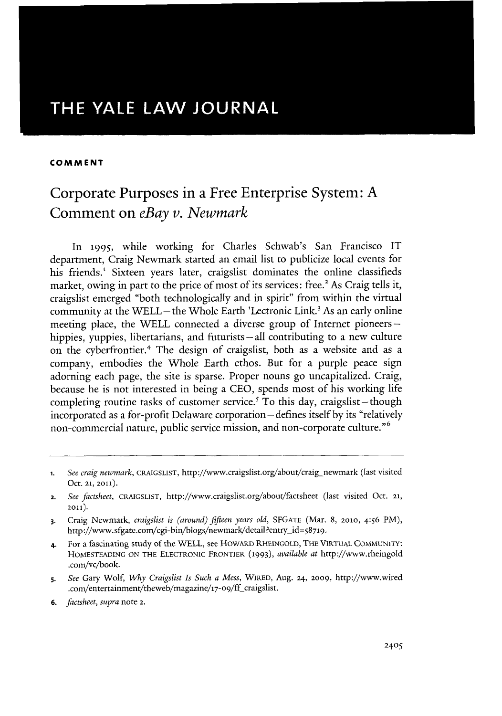## THE YALE LAW **JOURNAL**

#### **COMMENT**

# Corporate Purposes in a Free Enterprise System: **A** Comment on *eBay v. Newmark*

In **1995,** while working for Charles Schwab's San Francisco IT department, Craig Newmark started an email list to publicize local events for his friends.' Sixteen years later, craigslist dominates the online classifieds market, owing in part to the price of most of its services: free.<sup>2</sup> As Craig tells it, craigslist emerged "both technologically and in spirit" from within the virtual community at the WELL – the Whole Earth 'Lectronic Link.<sup>3</sup> As an early online meeting place, the WELL connected a diverse group of Internet pioneershippies, yuppies, libertarians, and futurists – all contributing to a new culture on the cyberfrontier.4 The design of craigslist, both as a website and as a company, embodies the Whole Earth ethos. But for a purple peace sign adorning each page, the site is sparse. Proper nouns go uncapitalized. Craig, because he is not interested in being a **CEO,** spends most of his working life completing routine tasks of customer service.<sup>5</sup> To this day, craigslist - though incorporated as a for-profit Delaware corporation-defines itself **by** its "relatively non-commercial nature, public service mission, and non-corporate culture."<sup>6</sup>

- **5.** *See Gary* Wolf, *Why Craigslist Is Such a Mess, WIRED,* Aug. **24, 2009,** http://www.wired .com/entertainment/theweb/magazine/17-09/ff\_craigslist.
- **6.** *factsheet, supra* note **2.**

**<sup>1.</sup>** *See craig newmark,* **CRAIGSLIST,** http://www.craigslist.org/about/craig-newmark (last visited Oct. **21, 2011).**

**<sup>2.</sup>** *See factsheet,* **CRAIGSLIST,** http://www.craigslist.org/about/factsheet (last visited Oct. **21, 2011).**

**<sup>3.</sup>** Craig Newmark, *craigslist is (around) fifteen years old,* **SFGATE** (Mar. **8, 2010,** *4:56* PM), http://www.sfgate.com/cgi-bin/blogs/newmark/detail?entry\_id=58719.

<sup>4.</sup> For a fascinating study of the WELL, see HowARD **RHEINGOLD, THE VIRTUAL COMMUNITY: HOMESTEADING ON THE ELECTRONIC FRONTIER (1993),** *available at* http://www.rheingold .com/vc/book.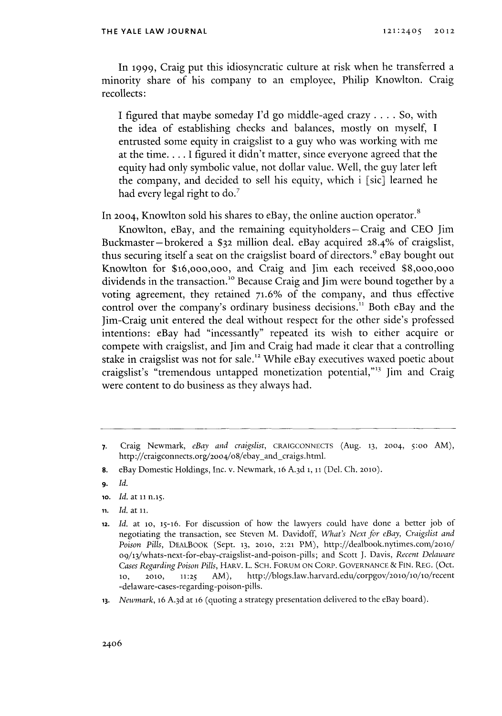In **1999,** Craig put this idiosyncratic culture at risk when he transferred a minority share of his company to an employee, Philip Knowlton. Craig recollects:

**I** figured that maybe someday **I'd** go middle-aged crazy **.** . **..** So, with the idea of establishing checks and balances, mostly on myself, **I** entrusted some equity in craigslist to a guy who was working with me at the time. . . **. I** figured it didn't matter, since everyone agreed that the equity had only symbolic value, not dollar value. Well, the guy later left the company, and decided to sell his equity, which i [sic] learned he had every legal right to do.'

In **2004,** Knowlton sold his shares to eBay, the online auction operator.

Knowlton, eBay, and the remaining equityholders **-** Craig and **CEO** Jim Buckmaster-brokered a **\$32** million deal. eBay acquired **28.4%** of craigslist, thus securing itself a seat on the craigslist board of directors.' eBay bought out Knowlton for \$16,ooo,ooo, and Craig and Jim each received \$8,ooo,ooo dividends in the transaction."o Because Craig and Jim were bound together **by** a voting agreement, they retained **71.6%** of the company, and thus effective control over the company's ordinary business decisions." Both eBay and the Jim-Craig unit entered the deal without respect for the other side's professed intentions: eBay had "incessantly" repeated its wish to either acquire or compete with craigslist, and Jim and Craig had made it clear that a controlling stake in craigslist was not for sale.<sup>12</sup> While eBay executives waxed poetic about craigslist's "tremendous untapped monetization potential,"<sup>13</sup> Jim and Craig were content to do business as they always had.

- **io.** *Id. at* **ii** n.i5.
- **n1.** *Id. at* **ii.**

**<sup>7.</sup>** Craig Newmark, *eBay and craigslist,* **CRAIGCONNECIS** (Aug. **13, 2004, 5:00** AM), http://craigconnects.org/2004/08/ebay\_and\_craigs.html.

**<sup>8.</sup>** eBay Domestic Holdings, Inc. v. Newmark, **16 A. 3d 1, 11** (Del. **Ch. 2010).**

**<sup>9.</sup>** *Id.*

**<sup>12.</sup>** *Id. at* **lo, 15-16. For discussion of how** the lawyers could have done a better **job** of negotiating the transaction, see Steven M. Davidoff, *What's Next for eBay, Craigslist and Poison Pills,* **DEALBOOK** (Sept. **13, 2010, 2:21** PM), http://dealbook.nytimes.com/2o1o/ 09/13/whats-next-for-ebay-craigslist-and-poison-pills; and Scott **J.** Davis, *Recent* Delaware *Cases Regarding Poison Pills,* HARv. L. **SCH.** FORUM **ON** CORP. **GOVERNANCE & FIN.** REG. (Oct. 10, 2010, 11:25 AM), http://blogs.law.harvard.edu/corpgov/2010/10/10/recent -delaware-cases-regarding-poison-pills.

**<sup>13.</sup>** Newmark, **16 A.3d** at **16** (quoting a strategy presentation delivered to the eBay board).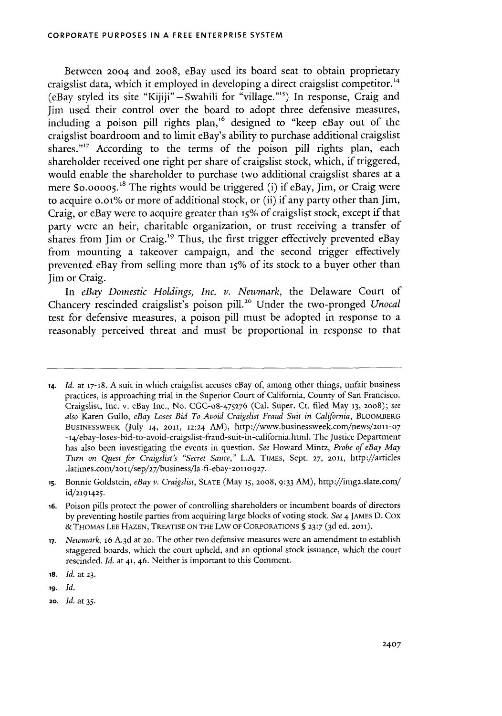Between **2004** and **2008,** eBay used its board seat to obtain proprietary craigslist data, which it employed in developing a direct craigslist competitor.<sup>14</sup> (eBay styled its site **"Kijiji"** -Swahili for "village."s) In response, Craig and Jim used their control over the board to adopt three defensive measures, including a poison pill rights plan,<sup>16</sup> designed to "keep eBay out of the craigslist boardroom and to limit eBay's ability to purchase additional craigslist shares."<sup>17</sup> According to the terms of the poison pill rights plan, each shareholder received one right per share of craigslist stock, which, if triggered, would enable the shareholder to purchase two additional craigslist shares at a mere \$0.00005.<sup>18</sup> The rights would be triggered (i) if eBay, Jim, or Craig were to acquire o.oi% or more of additional stock, or (ii) if any party other than Jim, Craig, or eBay were to acquire greater than *15% of* craigslist stock, except if that party were an heir, charitable organization, or trust receiving a transfer of shares from Jim or Craig.<sup>19</sup> Thus, the first trigger effectively prevented eBay from mounting a takeover campaign, and the second trigger effectively prevented eBay from selling more than **15%** of its stock to a buyer other than Jim or Craig.

*In eBay Domestic Holdings, Inc. v. Newmark,* the Delaware Court of Chancery rescinded craigslist's poison pill.<sup>20</sup> Under the two-pronged *Unocal* test for defensive measures, a poison pill must be adopted in response to a reasonably perceived threat and must **be** proportional in response to that

**18.** *Id.* at **23.**

**19.** *Id.*

**20.** *Id. at 35.*

**<sup>14.</sup>** *Id.* at **17-18. A** suit in which craigslist accuses eBay of, among other things, unfair business practices, is approaching trial in the Superior Court of California, County of San Francisco. Craigslist, Inc. v. eBay Inc., No. CGC-o8-475276 (Cal. Super. Ct. filed May **13, 2008);** *see also* Karen Gullo, *eBay Loses Bid To Avoid Craigslist Fraud Suit in California,* BLOOMBERG **BUSINESSWEEK (July** 14, 2011, 12:24 AM), http://www.businessweek.con/news/2011-07 -14/ebay-loses-bid-to-avoid-craigslist-fraud-suit-in-california.html. The Justice Department has also been investigating the events in question. *See* Howard Mintz, *Probe of eBay May Turn on Quest for Craigslist's "Secret Sauce,"* **L.A. TIMES,** Sept. **27,** 2011, http://articles .latimes.com/2011/sep/27/business/la-fi-ebay-20110927.

**<sup>15.</sup>** Bonnie Goldstein, *eBay v. Craigslist,* **SLATE** (May **15, 2008, 9:33** AM), http://img2.slate.com/ **id/2191425.**

**<sup>16.</sup>** Poison pills protect the power of controlling shareholders or incumbent boards of directors **by** preventing hostile parties from acquiring large blocks of voting stock. *See 4* JAMES **D.** Cox **& THOMAS LEE HAZEN,** TREATISE **ON** THE LAW OF CORPORATIONS **§ 23:7 ( 3d** ed. 2011).

**<sup>17.</sup>** *Newmark, 16* **A.3d** at **20.** The other two defensive measures were an amendment to establish staggered boards, which the court upheld, and an optional stock issuance, which the court rescinded. *Id.* at **41, 46.** Neither is important to this Comment.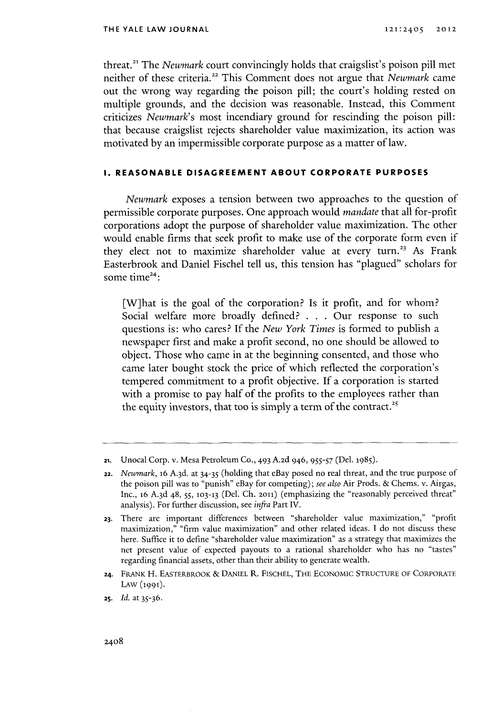threat.<sup>21</sup> The *Newmark* court convincingly holds that craigslist's poison pill met neither of these criteria.<sup>22</sup> This Comment does not argue that *Newmark* came out the wrong way regarding the poison **pill;** the court's holding rested on multiple grounds, and the decision was reasonable. Instead, this Comment criticizes *Newmark's* most incendiary ground for rescinding the poison pill: that because craigslist rejects shareholder value maximization, its action was motivated **by** an impermissible corporate purpose as a matter **of** law.

#### **1. REASONABLE DISAGREEMENT ABOUT CORPORATE PURPOSES**

*Newmark* exposes a tension between two approaches to the question of permissible corporate purposes. One approach would *mandate* that all for-profit corporations adopt the purpose of shareholder value maximization. The other would enable firms that seek profit to make use of the corporate form even if they elect not to maximize shareholder value at every turn.<sup>23</sup> As Frank Easterbrook and Daniel Fischel tell us, this tension has "plagued" scholars for some time<sup>24</sup>:

[W]hat is the goal of the corporation? Is it profit, and for whom? Social welfare more broadly defined? **. . .** Our response to such questions is: who cares? **If** *the New York Times* is formed to publish a newspaper first and make a profit second, no one should be allowed to object. Those who came in at the beginning consented, and those who came later bought stock the price of which reflected the corporation's tempered commitment to a profit objective. **If** a corporation is started with a promise to pay half of the profits to the employees rather than the equity investors, that too is simply a term of the contract.<sup>25</sup>

**<sup>21.</sup>** Unocal Corp. v. Mesa Petroleum **Co.,** 493 **A.2d** 946, **955-57 (Del.** 1985).

**<sup>22.</sup>** *Newmark,* **16 A.3d.** at 34-35 (holding that eBay posed no real threat, and the true purpose of the poison pill was to "punish" eBay for competing); *see also* Air Prods. **&** Chems. v. Airgas, Inc., **16 A-3d** 48, **55, 103-13** (Del. **Ch. 2011)** (emphasizing the "reasonably perceived threat" analysis). For further discussion, see *infra* Part IV.

**<sup>23.</sup>** There are important differences between "shareholder value maximization," "profit maximization," "firm value maximization" and other related ideas. **I** do not discuss these here. Suffice it to define "shareholder value maximization" as a strategy that maximizes the net present value of expected payouts to a rational shareholder who has no "tastes" regarding financial assets, other than their ability to generate wealth.

**<sup>24.</sup>** FRANK H. EASTERBROOK **& DANIEL** R. **FISCHEL,** THE **ECONOMIC STRUCTURE** OF CORPORATE LAW **(1991).**

**<sup>25.</sup>** *Id.* at **35-36.**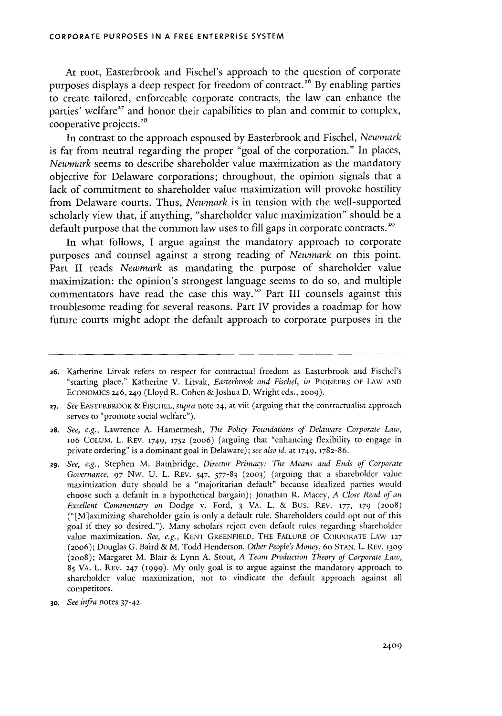At root, Easterbrook and Fischel's approach to the question of corporate purposes displays a deep respect for freedom of contract.<sup>26</sup> By enabling parties to create tailored, enforceable corporate contracts, the law can enhance the parties' welfare<sup>27</sup> and honor their capabilities to plan and commit to complex, cooperative projects.

In contrast to the approach espoused **by** Easterbrook and Fischel, *Newmark* is far from neutral regarding the proper "goal of the corporation." In places, *Newmark seems* to describe shareholder value maximization as the mandatory objective for Delaware corporations; throughout, the opinion signals that a lack of commitment to shareholder value maximization will provoke hostility from Delaware courts. Thus, *Newmark* is in tension with the well-supported scholarly view that, if anything, "shareholder value maximization" should be a default purpose that the common law uses to fill gaps in corporate contracts.<sup>29</sup>

In what follows, **I** argue against the mandatory approach to corporate purposes and counsel against a strong reading of *Newmark* on this point. Part II reads *Newmark* as mandating the purpose of shareholder value maximization: the opinion's strongest language seems to do so, and multiple commentators have read the case this way.<sup>30</sup> Part III counsels against this troublesome reading for several reasons. Part IV provides a roadmap for how future courts might adopt the default approach to corporate purposes in the

**<sup>26.</sup>** Katherine Litvak refers to respect for contractual freedom as Easterbrook and Fischel's "starting place." Katherine V. Litvak, *Easterbrook and Fischel, in* **PIONEERS** OF LAW **AND EcoNoMICs** 246,249 (Lloyd R. Cohen & Joshua **D.** Wright eds., **2009).**

**<sup>27.</sup>** *See* EASTERBROOK **&** FISCHEL, *supra* note 24, at viii (arguing that the contractualist approach serves to "promote social welfare").

**<sup>28.</sup>** *See, e.g.,* Lawrence **A.** Hamermesh, *The Policy Foundations of Delaware Corporate Law,* 106 COLUM. L. REV. 1749, **1752** (20o6) (arguing that "enhancing flexibility to engage in private ordering" is a dominant goal in Delaware); *see also id.* at **1749, 1782-86.**

**<sup>29.</sup>** *See, e.g.,* Stephen M. Bainbridge, *Director Primacy: The Means and Ends of Corporate Governance, 97* **Nw. U.** L. REV. *547,* **577-83 (2003)** (arguing that a shareholder value maximization duty should be a "majoritarian default" because idealized parties would choose such a default in a hypothetical bargain); Jonathan R. Macey, *A Close Read of an Excellent Commentary on* Dodge v. Ford, **3** VA. L. **&** Bus. REv. **177, 179 (2008)** ("[M]aximizing shareholder gain is only a default rule. Shareholders could opt out of this goal if they so desired."). Many scholars reject even default rules regarding shareholder value maximization. *See, e.g.,* **KENT GREENFIELD,** THE **FAILURE** OF CORPORATE LAW **<sup>127</sup> (20o6);** Douglas **G.** Baird **&** M. Todd Henderson, *Other People's Money,* 60 **STAN.** L. REV. **1309 (2oo8);** Margaret M. Blair **&** Lynn **A.** Stout, *A Team Production Theory of Corporate Law,* **85** VA. L. REV. 247 **(1999). My** only goal is to argue against the mandatory approach to shareholder value maximization, not to vindicate the default approach against all competitors.

*<sup>30.</sup> See infra* notes **37-42.**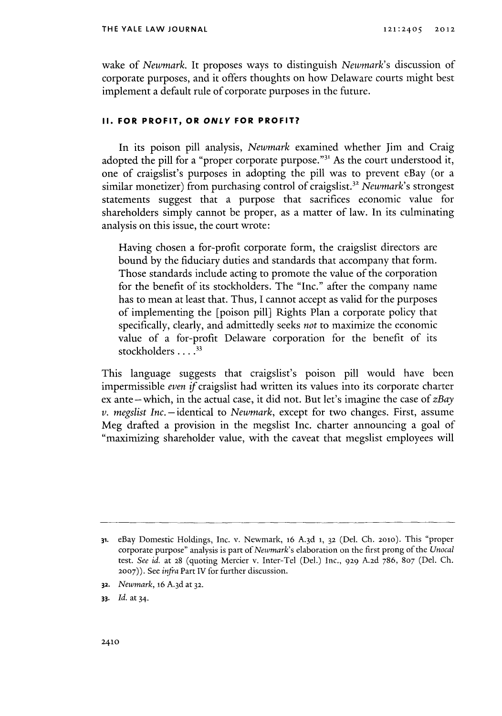wake of *Newmark.* It proposes ways to distinguish *Newmark's* discussion of corporate purposes, and it offers thoughts on how Delaware courts might best implement a default rule of corporate purposes in the future.

#### **II. FOR PROFIT, OR ONLY FOR PROFIT?**

In its poison **pill** analysis, *Newmark* examined whether Jim and Craig adopted the pill for a "proper corporate purpose."<sup>31</sup> As the court understood it, one of craigslist's purposes in adopting the pill was to prevent eBay (or a similar monetizer) from purchasing control of craigslist.<sup>32</sup> Newmark's strongest statements suggest that a purpose that sacrifices economic value for shareholders simply cannot be proper, as a matter of law. In its culminating analysis on this issue, the court wrote:

Having chosen a for-profit corporate form, the craigslist directors are bound **by** the fiduciary duties and standards that accompany that form. Those standards include acting to promote the value of the corporation for the benefit of its stockholders. The "Inc." after the company name has to mean at least that. Thus, **I** cannot accept as valid for the purposes of implementing the [poison pill] Rights Plan a corporate policy that specifically, clearly, and admittedly seeks *not* to maximize the economic value of a for-profit Delaware corporation for the benefit of its stockholders **.** . **..**

This language suggests that craigslist's poison pill would have been impermissible *even* ifcraigslist had written its values into its corporate charter ex ante-which, in the actual case, it did not. But let's imagine the case of *zBay v. megslist Inc.* -identical to *Newmark,* except for two changes. First, assume Meg drafted a provision in the megslist Inc. charter announcing a goal of "maximizing shareholder value, with the caveat that megslist employees will

**32.** *Newmark,* 16 **A.3d** at **32.**

**<sup>31.</sup>** eBay Domestic Holdings, Inc. v. Newmark, **16 A-3d 1, 32** (Del. **Ch. 2010).** This "proper corporate purpose" analysis is part of *Newmark's* elaboration on the first prong of the *Unocal* test. *See id.* at **28** (quoting Mercier v. Inter-Tel (Del.) Inc., **929 A.2d 786, 807** (Del. **Ch. 2007)).** See *infra* Part IV for further discussion.

**<sup>33.</sup>** *Id.* at 34.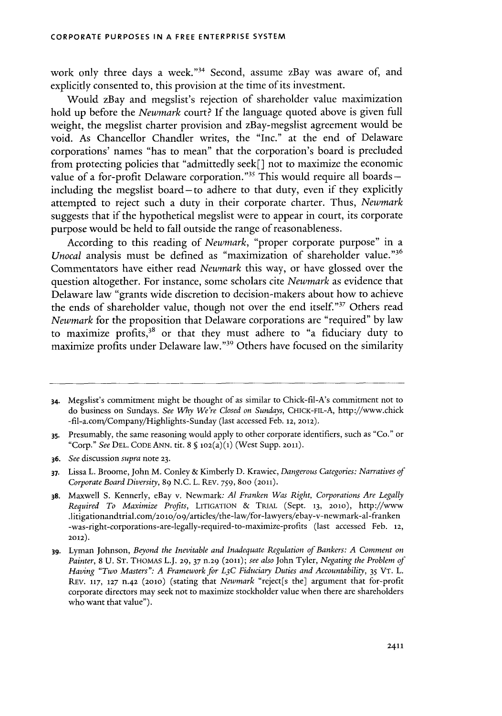work only three days a week."34 Second, assume zBay was aware of, and explicitly consented to, this provision at the time of its investment.

Would zBay and megslist's rejection of shareholder value maximization hold up before the *Newmark court?* **If** the language quoted above is given full weight, the megslist charter provision and zBay-megslist agreement would be void. As Chancellor Chandler writes, the "Inc." at the end of Delaware corporations' names "has to mean" that the corporation's board is precluded from protecting policies that "admittedly seek[] not to maximize the economic value of a for-profit Delaware corporation."<sup>35</sup> This would require all boards -including the megslist board-to adhere to that duty, even if they explicitly attempted to reject such a duty in their corporate charter. Thus, *Newmark* suggests that if the hypothetical megslist were to appear in court, its corporate purpose would be held to fall outside the range of reasonableness.

According to this reading of *Newmark,* "proper corporate purpose" in a *Unocal* analysis must be defined as "maximization of shareholder value."<sup>36</sup> Commentators have either read *Newmark* this way, or have glossed over the question altogether. For instance, some scholars cite *Newmark* as evidence that Delaware law "grants wide discretion to decision-makers about how to achieve the ends of shareholder value, though not over the end itself."<sup>37</sup> Others read *Newmark* for the proposition that Delaware corporations are "required" **by** law to maximize profits, $3^8$  or that they must adhere to "a fiduciary duty to maximize profits under Delaware law."<sup>39</sup> Others have focused on the similarity

**<sup>34.</sup>** Megslist's commitment might be thought of as similar to Chick-fil-A's commitment not to do business on Sundays. *See Why We're Closed on Sundays,* **CHICK-FIL-A,** http://www.chick -fil-a.conVCompany/Highlights-Sunday (last accessed Feb. **12, 2012).**

**<sup>3</sup>s.** Presumably, the same reasoning would apply to other corporate identifiers, such as "Co." or "Corp." *See* **DEL. CODE ANN. tit. 8 § 102(a)(1)** (West **Supp. 2011).**

**<sup>36.</sup>** *See discussion supra* note **23.**

**<sup>37.</sup>** Lissa L. Broome, John M. Conley **&** Kimberly **D.** Krawiec, *Dangerous Categories: Narratives of Corporate Board Diversity,* **89 N.C.** L. REV. **759,** 8oo **(2011).**

**<sup>38.</sup>** Maxwell **S.** Kennerly, eBay v. Newmark: *Al Franken Was Right, Corporations Are Legally Required To Maximize Profits,* **LITIGATION & TRIAL** (Sept. **13, 2010),** http://www .1itigationandtrial.com/2olo/o9/articles/the-law/for-lawyers/ebay-v-newmark-al-franken -was-right-corporations-are-legally-required-to-maximize-profits (last accessed Feb. **12, 2012).**

**<sup>39.</sup>** Lyman Johnson, *Beyond the Inevitable and Inadequate Regulation of Bankers: A Comment on Painter,* **8 U. ST. THOMAS** L.J. **29, 37 n.29 (2011);** *see also* John Tyler, *Negating the Problem of Having "Two Masters": A Framework for L3 C Fiduciary Duties and Accountability, 35* VT. L. **REV. 117, 127 n-42 (2010) (stating** that *Newmark* **"reject[s** the] argument that for-profit corporate directors may seek not to maximize stockholder value when there are shareholders who want that value").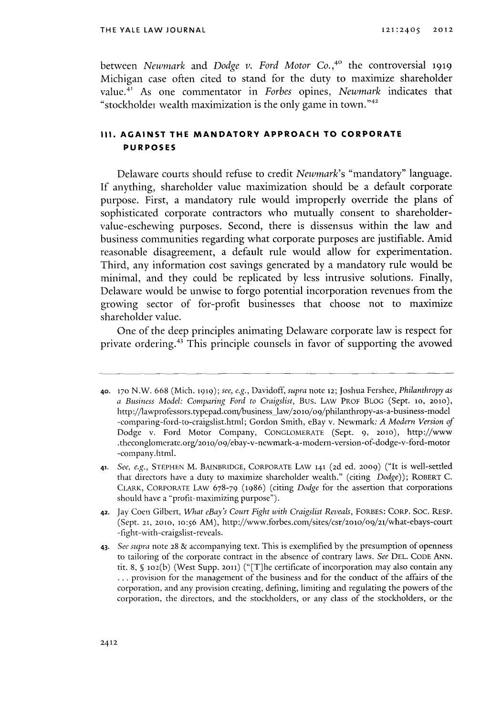between *Newmark and Dodge v. Ford Motor Co.,4o* the controversial **1919** Michigan case often cited to stand for the duty to maximize shareholder value.<sup>41</sup> As one commentator in *Forbes* opines, *Newmark* indicates that "stockholder wealth maximization is the only game in town." $42$ 

### **iI. AGAINST THE MANDATORY APPROACH TO CORPORATE PURPOSES**

Delaware courts should refuse to credit *Newmark's* "mandatory" language. **If** anything, shareholder value maximization should be a default corporate purpose. First, a mandatory rule would improperly override the plans of sophisticated corporate contractors who mutually consent to shareholdervalue-eschewing purposes. Second, there is dissensus within the law and business communities regarding what corporate purposes are justifiable. Amid reasonable disagreement, a default rule would allow for experimentation. Third, any information cost savings generated **by** a mandatory rule would **be** minimal, and they could be replicated **by** less intrusive solutions. Finally, Delaware would be unwise to forgo potential incorporation revenues from the growing sector of for-profit businesses that choose not to maximize shareholder value.

One of the deep principles animating Delaware corporate law is respect for private ordering.43 This principle counsels in favor of supporting the avowed

**<sup>40.</sup> 170** N.W. **668** (Mich. **1919);** *see, e.g., Davidoff, supra* note **12;** Joshua Fershee, *Philanthropy as a Business Model: Comparing Ford to Craigslist,* Bus. LAW PROF BLOG (Sept. **to, 2010),** http://lawprofessors.typepad.com/business\_law/2010/09/philanthropy-as-a-business-model -comparing-ford-to-craigslist.html; Gordon Smith, eBay v. Newmark: *A Modern Version of* Dodge v. Ford Motor Company, **CONGLOMERATE** (Sept. **9, 2010),** http://www .theconglomerate.org/20lo/09/ebay-v-newmark-a-modern-version-of-dodge-v-ford-motor -company.html.

**<sup>41.</sup>** *See, e.g.,* **STEPHEN** M. BAINBRIDGE, CORPORATE LAw **141 (2d** ed. **2009)** ("It is well-settled that directors have a duty to maximize shareholder wealth." (citing *Dodge));* ROBERT **C.** ClIARK, CORPORATE LAw **678-79** (1986) (citing *Dodge* for the assertion that corporations should have a "profit-maximizing purpose").

**<sup>42.</sup>** Jay Coen Gilbert, *What eBay's Court Fight with Craigslist Reveals,* FORBES: CORP. **Soc.** RESP. (Sept. **21, 2010, 10:56** *AM),* http://www.forbes.com/sites/csr/2010/09/21/what-ebays-court -fight-with-craigslist-reveals.

<sup>43.</sup> *See supra* note **28 &** accompanying text. This is exemplified **by** the presumption of openness to tailoring of the corporate contract in the absence of contrary laws. *See* **DEL. CODE ANN.** tit. **8, S** ioz(b) (West **Supp. 2011)** ("[T]he certificate of incorporation may also contain any **...** provision for the management of the business and for the conduct of the affairs of the corporation, and any provision creating, defining, limiting and regulating the powers of the corporation, the directors, and the stockholders, or any class of the stockholders, or the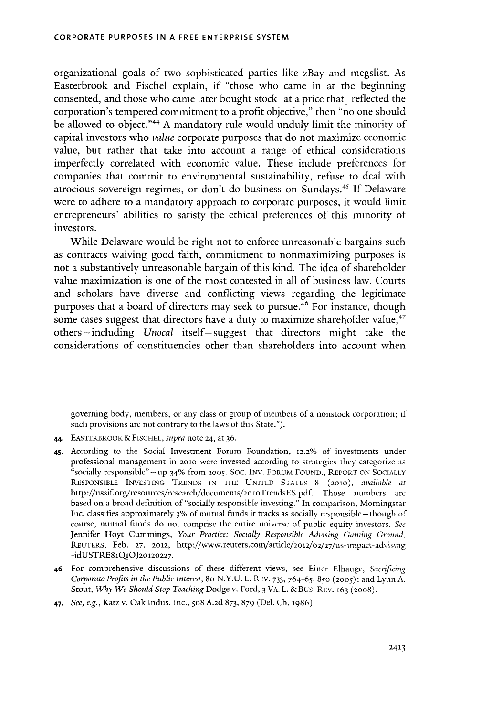organizational goals of two sophisticated parties like zBay and megslist. As Easterbrook and Fischel explain, if "those who came in at the beginning consented, and those who came later bought stock [at a price that] reflected the corporation's tempered commitment to a profit objective," then "no one should be allowed to object."<sup>44</sup> A mandatory rule would unduly limit the minority of capital investors who *value* corporate purposes that do not maximize economic value, but rather that take into account a range of ethical considerations imperfectly correlated with economic value. These include preferences for companies that commit to environmental sustainability, refuse to deal with atrocious sovereign regimes, or don't do business on Sundays." **If** Delaware were to adhere to a mandatory approach to corporate purposes, it would limit entrepreneurs' abilities to satisfy the ethical preferences of this minority of investors.

While Delaware would be right not to enforce unreasonable bargains such as contracts waiving good faith, commitment to nonmaximizing purposes is not a substantively unreasonable bargain of this kind. The idea of shareholder value maximization is one of the most contested in all of business law. Courts and scholars have diverse and conflicting views regarding the legitimate purposes that a board of directors may seek to pursue.<sup>46</sup> For instance, though some cases suggest that directors have a duty to maximize shareholder value,<sup>47</sup> others -including *Unocal* itself-suggest that directors might take the considerations of constituencies other than shareholders into account when

governing body, members, or any class or group of members of a nonstock corporation; if such provisions are not contrary to the laws of this State.").

46. For comprehensive discussions of these different views, see Einer Elhauge, *Sacrificing Corporate Profits in the Public Interest,* 80 **N.Y.U.** L. REV. **733,** *764-65,* 850 **(2005);** and Lynn **A.** Stout, *Why We Should Stop Teaching Dodge v.* Ford, **3** VA. L. &Bus. REV. 163 **(2008).**

<sup>44.</sup> EASTERBROOK& **FISCHEL,** *supra* note 24, at **36.**

**<sup>45.</sup>** According to the Social Investment Forum Foundation, 12.2% of investments under professional management in 2010 were invested according to strategies they categorize as "socially responsible" -up 34% from **2005.** Soc. INv. FORUM **FOUND.,** REPORT **ON SOCIALLY** RESPONSIBLE **INVESTING TRENDS IN** THE **UNITED STATES 8** (2010), *available at* http://ussif.org/resources/research/documents/2oloTrendsES.pdf. Those numbers are based on a broad definition of "socially responsible investing." In comparison, Morningstar Inc. classifies approximately 3% of mutual funds it tracks as socially responsible - though of course, mutual funds do not comprise the entire universe of public equity investors. *See* Jennifer Hoyt Cummings, *Your Practice: Socially Responsible Advising Gaining Ground,* **REUTERS,** Feb. **27,** 2012, http://www.reuters.com/article/2o12/02/27/us-impact- advising **-idUSTRE81Q10J20120227.**

<sup>47.</sup> *See, e.g.,* Katz v. Oak Indus. Inc., 508 **A.2d 873, 879** (Del. **Ch. 1986).**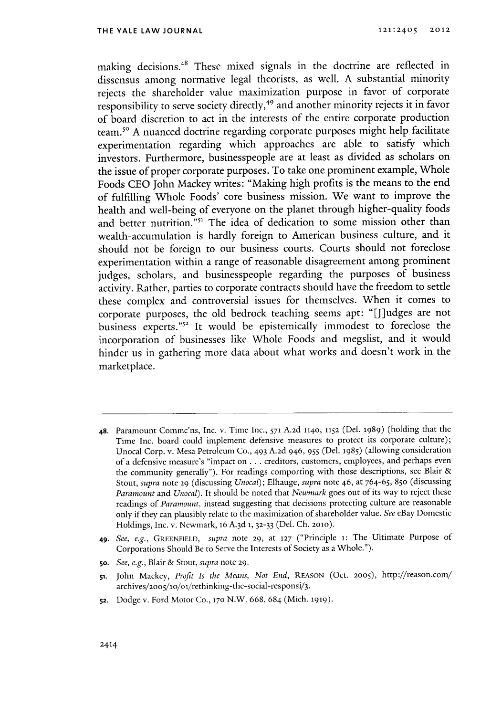making decisions.<sup>48</sup> These mixed signals in the doctrine are reflected in dissensus among normative legal theorists, as well. **A** substantial minority rejects the shareholder value maximization purpose in favor of corporate responsibility to serve society directly,<sup>49</sup> and another minority rejects it in favor of board discretion to act in the interests of the entire corporate production team.<sup>50</sup> A nuanced doctrine regarding corporate purposes might help facilitate experimentation regarding which approaches are able to satisfy which investors. Furthermore, businesspeople are at least as divided as scholars on the issue of proper corporate purposes. To take one prominent example, Whole Foods **CEO** John Mackey writes: "Making high profits is the means to the end of fulfilling Whole Foods' core business mission. We want to improve the health and well-being of everyone on the planet through higher-quality foods and better nutrition."<sup>51</sup> The idea of dedication to some mission other than wealth-accumulation is hardly foreign to American business culture, and it should not be foreign to our business courts. Courts should not foreclose experimentation within a range of reasonable disagreement among prominent judges, scholars, and businesspeople regarding the purposes of business activity. Rather, parties to corporate contracts should have the freedom to settle these complex and controversial issues for themselves. When it comes to corporate purposes, the old bedrock teaching seems apt: "[Jiudges are not business experts."<sup>52</sup> It would be epistemically immodest to foreclose the incorporation of businesses like *Whole* Foods and megslist, and it would hinder us in gathering more data about what works and doesn't work in the marketplace.

- **48.** Paramount Commc'ns, Inc. v. Time Inc., **571 A.2d 1140, 1152** (Del. **1989)** (holding that the Time Inc. board could implement defensive measures to protect its corporate culture); Unocal Corp. v. Mesa Petroleum **Co.,** 493 **A.2d** 946, **955** (Del. **1985)** (allowing consideration of a defensive measure's "impact on **...** creditors, customers, employees, and perhaps even the community generally"). For readings comporting with those descriptions, see Blair **&** Stout, *supra* note **29** (discussing *Unocal); Elhauge, supra* note 46, at **764-65,** 850 (discussing *Paramount and Unocal).* It should be noted that *Newmark* goes out of its way to reject these readings of *Paramount,* instead suggesting that decisions protecting culture are reasonable only if they can plausibly relate to the maximization of shareholder value. *See* eBay Domestic Holdings, Inc. v. Newmark, 16 **A. 3d 1, 32-33** (Del. **Ch. 2010).**
- **49.** *See, e.g., GREENFIELD, supra* note **29,** at **127** ("Principle **i:** The Ultimate Purpose of Corporations Should Be to Serve the Interests of Society as a Whole.").
- **5o.** *See, e.g.,* Blair **&** Stout, *supra* note **29.**
- **51.** John Mackey, *Profit Is the Means, Not End,* **REASON** (Oct. **2005),** http://reason.com/ archives/2oo5/1o/oi/rethinking-the-social-responsi/3.
- **52.** Dodge v. Ford Motor Co., **170** N.W. **668,** 684 (Mich. **1919).**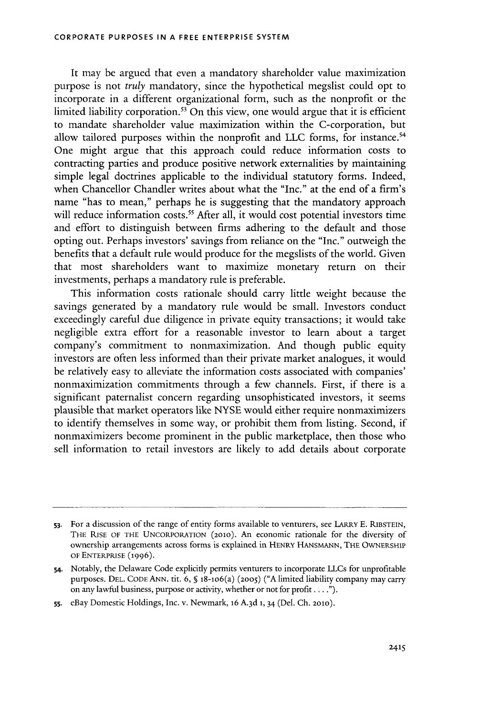It may be argued that even a mandatory shareholder value maximization purpose is not *truly* mandatory, since the hypothetical megslist could opt to incorporate in a different organizational form, such as the nonprofit or the limited liability corporation.<sup>53</sup> On this view, one would argue that it is efficient to mandate shareholder value maximization within the C-corporation, but allow tailored purposes within the nonprofit and **LLC** forms, for instance. One might argue that this approach could reduce information costs to contracting parties and produce positive network externalities **by** maintaining simple legal doctrines applicable to the individual statutory forms. Indeed, when Chancellor Chandler writes about what the "Inc." at the end of a firm's name "has to mean," perhaps he is suggesting that the mandatory approach will reduce information costs.<sup>55</sup> After all, it would cost potential investors time and effort to distinguish between firms adhering to the default and those opting out. Perhaps investors' savings from reliance on the "Inc." outweigh the benefits that a default rule would produce for the megslists of the world. Given that most shareholders want to maximize monetary return on their investments, perhaps a mandatory rule is preferable.

This information costs rationale should carry little weight because the savings generated **by** a mandatory rule would be small. Investors conduct exceedingly careful due diligence in private equity transactions; it would take negligible extra effort for a reasonable investor to learn about a target company's commitment to nonmaximization. And though public equity investors are often less informed than their private market analogues, it would be relatively easy to alleviate the information costs associated with companies' nonmaximization commitments through a few channels. First, if there is a significant paternalist concern regarding unsophisticated investors, it seems plausible that market operators like **NYSE** would either require nonmaximizers to identify themselves in some way, or prohibit them from listing. Second, if nonmaximizers become prominent in the public marketplace, then those who sell information to retail investors are likely to add details about corporate

**<sup>53.</sup>** For a discussion of the range of entity forms available to venturers, see **LARRY E. RIBSTEIN, THE RISE OF THE UNCORPORATION (2010).** An economic rationale for the diversity of ownership arrangements across forms is explained in **HENRY HANSMANN, THE OWNERSHIP OF ENTERPRISE (1996).**

**<sup>54.</sup>** Notably, the Delaware Code explicitly permits venturers to incorporate LLCs for unprofitable purposes. **DEL. CODE ANN. tit. 6, §** 18-1o6(a) **(2005) ("A** limited liability company may carry on any lawful business, purpose or activity, whether or not for profit **. . . ").**

**<sup>55.</sup>** eBay Domestic Holdings, Inc. v. Newmark, **16 A.3d 1,** 34 (Del. **Ch. 2010).**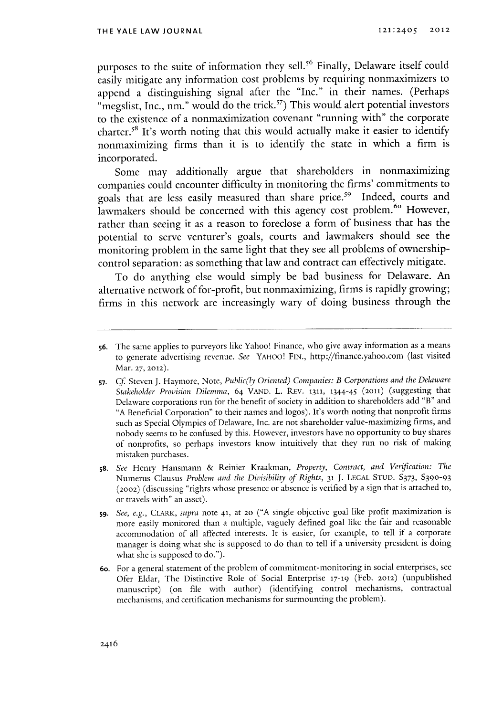purposes to the suite of information they sell.<sup>56</sup> Finally, Delaware itself could easily mitigate any information cost problems **by** requiring nonmaximizers to append a distinguishing signal after the "Inc." in their names. (Perhaps "megslist, Inc., nm." would do the trick.<sup>57</sup>) This would alert potential investors to the existence of a nonmaximization covenant "running with" the corporate charter.<sup>58</sup> It's worth noting that this would actually make it easier to identify nonmaximizing firms than it is to identify the state in which a firm is incorporated.

Some may additionally argue that shareholders in nonmaximizing companies could encounter difficulty in monitoring the firms' commitments to goals that are less easily measured than share price.<sup>59</sup> Indeed, courts and lawmakers should be concerned with this agency cost problem.<sup>60</sup> However, rather than seeing it as a reason to foreclose a form of business that has the potential to serve venturer's goals, courts and lawmakers should see the monitoring problem in the same light that they see all problems of ownershipcontrol separation: as something that law and contract can effectively mitigate.

To do anything else would simply be bad business for Delaware. An alternative network of for-profit, but nonmaximizing, firms is rapidly growing; firms in this network are increasingly wary of doing business through the

- **58.** *See* Henry Hansmann **&** Reinier Kraakman, *Propery, Contract, and Verification: The* Numerus Clausus *Problem and the Divisibility of Rights, 31* **J. LEGAL STUD. S373, S390-93 (2002)** (discussing "rights whose presence or absence is verified **by** a sign that is attached to, or travels with" an asset).
- **59.** *See, e.g., CIAu, supra* note **41,** at **20 ("A** single objective goal like profit maximization is more easily monitored than a multiple, vaguely defined goal like the fair and reasonable accommodation of all affected interests. It is easier, for example, to tell if a corporate manager is doing what she is supposed to do than to tell if a university president is doing what she is supposed to do.").
- **6o.** For a general statement of the problem of commitment-monitoring in social enterprises, see Ofer Eldar, The Distinctive Role of Social Enterprise **17-19** (Feb. **2012)** (unpublished manuscript) (on file with author) (identifying control mechanisms, contractual mechanisms, and certification mechanisms for surmounting the problem).

**<sup>56.</sup>** The same applies to purveyors like Yahoo! Finance, who give away information as a means to generate advertising revenue. *See* **YAHoo! FIN.,** http://finance.yahoo.com (last visited **Mar. 27, 2012).**

**<sup>57.</sup> Cf** Steven **J.** Haymore, Note, *Public(ly Oriented) Companies: B Corporations and the Delaware Stakeholder Provision Dilemma, 64* **VAND.** L. REV. **1311, 1344-45 (2011)** (suggesting that Delaware corporations run for the benefit of society in addition to shareholders add "B" and **"A** Beneficial Corporation" to their names and logos). It's worth noting that nonprofit firms such as Special Olympics of Delaware, Inc. are not shareholder value-maximizing firms, and nobody seems to be confused **by** this. However, investors have no opportunity to buy shares of nonprofits, so perhaps investors know intuitively that they run no risk of making mistaken purchases.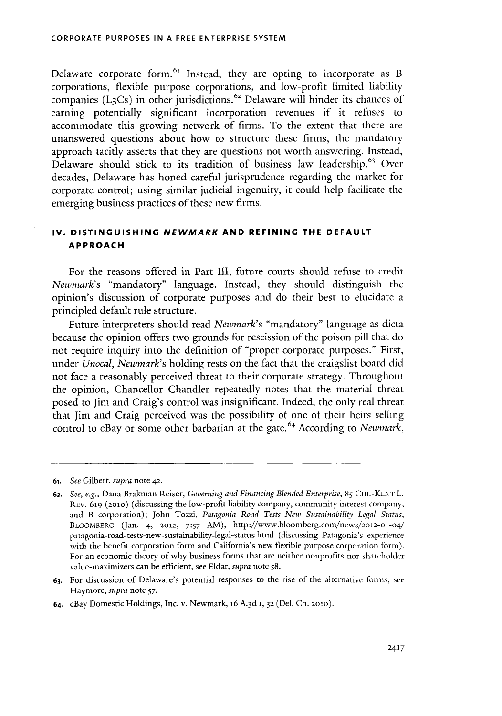Delaware corporate form.<sup>61</sup> Instead, they are opting to incorporate as B corporations, flexible purpose corporations, and low-profit limited liability companies (L<sub>3</sub>Cs) in other jurisdictions.<sup>62</sup> Delaware will hinder its chances of earning potentially significant incorporation revenues **if** it refuses to accommodate this growing network of firms. To the extent that there are unanswered questions about how to structure these firms, the mandatory approach tacitly asserts that they are questions not worth answering. Instead, Delaware should stick to its tradition of business law leadership.<sup>63</sup> Over decades, Delaware has honed careful jurisprudence regarding the market for corporate control; using similar judicial ingenuity, it could help facilitate the emerging business practices of these new firms.

### **IV. DISTINGUISHING NEWMARK AND REFINING THE DEFAULT APPROACH**

For the reasons offered in Part III, future courts should refuse to credit *Newmark's* "mandatory" language. Instead, they should distinguish the opinion's discussion of corporate purposes and do their best to elucidate a principled default rule structure.

Future interpreters should read *Newmark's* "mandatory" language as dicta because the opinion offers two grounds for rescission of the poison pill that do not require inquiry into the definition of "proper corporate purposes." First, under *Unocal, Newmark's* holding rests on the fact that the craigslist board did not face a reasonably perceived threat to their corporate strategy. Throughout the opinion, Chancellor Chandler repeatedly notes that the material threat posed to Jim and Craig's control was insignificant. Indeed, the only real threat that Jim and Craig perceived was the possibility of one of their heirs selling control to eBay or some other barbarian at the gate.<sup>64</sup> According to *Newmark*,

- **63.** For discussion of Delaware's potential responses to the rise of the alternative forms, see Haymore, *supra* note *57.*
- **64.** eBay Domestic Holdings, Inc. v. Newmark, **16 A. 3d 1, 32** (Del. **Ch. 2010).**

**<sup>61.</sup>** *See Gilbert, supra* note **42.**

**<sup>62.</sup>** *See, e.g.,* Dana Brakman Reiser, *Governing and Financing Blended Enterprise, 85* **CHI.-KENT** L. REv. 619 **(2010)** (discussing the low-profit liability company, community interest company, and B corporation); John Tozzi, *Patagonia Road Tests New Sustainability Legal Status,* BLOOMBERG (Jan. 4, 2012, 7:57 AM), http://www.bloomberg.com/news/2012-01-04/ patagonia-road-tests-new-sustainability-legal-status.html (discussing Patagonia's experience with the benefit corporation form and California's new flexible purpose corporation form). For an economic theory of why business forms that are neither nonprofits nor shareholder value-maximizers can be efficient, see Eldar, *supra* note **58.**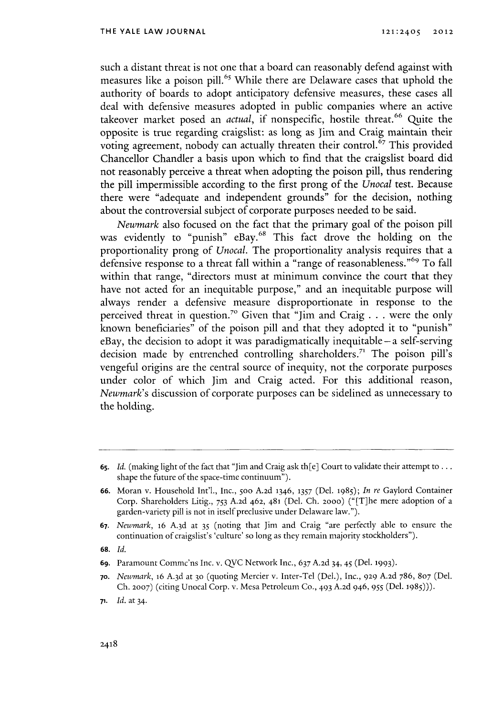such a distant threat is not one that a board can reasonably defend against with measures like a poison pill.<sup>65</sup> While there are Delaware cases that uphold the authority of boards to adopt anticipatory defensive measures, these cases all deal with defensive measures adopted in public companies where an active takeover market posed an *actual*, if nonspecific, hostile threat.<sup>66</sup> Quite the opposite is true regarding craigslist: as long as Jim and Craig maintain their voting agreement, nobody can actually threaten their control.<sup>67</sup> This provided Chancellor Chandler a basis upon which to find that the craigslist board did not reasonably perceive a threat when adopting the poison pill, thus rendering the pill impermissible according to the first prong of the *Unocal* test. Because there were "adequate and independent grounds" for the decision, nothing about the controversial subject of corporate purposes needed to be said.

*Newmark* also focused on the fact that the primary goal of the poison pill was evidently to "punish" eBay.<sup>68</sup> This fact drove the holding on the proportionality prong of *Unocal.* The proportionality analysis requires that a defensive response to a threat fall within a "range of reasonableness."<sup>69</sup> To fall within that range, "directors must at minimum convince the court that they have not acted for an inequitable purpose," and an inequitable purpose will always render a defensive measure disproportionate in response to the perceived threat in question.7 o Given that "Jim and Craig **. . .** were the only known beneficiaries" of the poison pill and that they adopted it to "punish" eBay, the decision to adopt it was paradigmatically inequitable **-a** self-serving decision made **by** entrenched controlling shareholders." The poison pill's vengeful origins are the central source of inequity, not the corporate purposes under color of which Jim and Craig acted. For this additional reason, *Newmark's* discussion of corporate purposes can be sidelined as unnecessary to the holding.

**68.** *Id.*

**70.** *Newmark,* **16 A.3d** at **30** (quoting Mercier v. Inter-Tel (Del.), Inc., **929 A.2d 786, 807** (Del. **Ch. 2007)** (citing Unocal Corp. v. Mesa Petroleum **Co.,** <sup>4</sup> <sup>9</sup> <sup>3</sup>**A.2d** 946, **955** (Del. **1985))).**

**<sup>65.</sup>** *Id.* (making light of the fact that "Jim and Craig ask th[e] Court to validate their attempt to **...** shape the future of the space-time continuum").

**<sup>66.</sup>** Moran v. Household Int'l., Inc., 5oo **A.2d 1346, 1357** (Del. **1985);** *In re* Gaylord Container Corp. Shareholders Litig., **753 A.2d 462, 481** (Del. **Ch. 2000)** ("[T]he mere adoption of a garden-variety pill is not in itself preclusive under Delaware **law.").**

**<sup>67.</sup>** *Newmark,* 16 **A. 3d** at **35** (noting that Jim and Craig "are perfectly able to ensure the continuation of craigslist's 'culture' so long as they remain majority stockholders").

**<sup>69.</sup>** Paramount Commc'ns Inc. v. **QVC** Network Inc., **637 A.2d** 34, 45 (Del. **1993).**

**<sup>71.</sup>** *Id.* at 34.